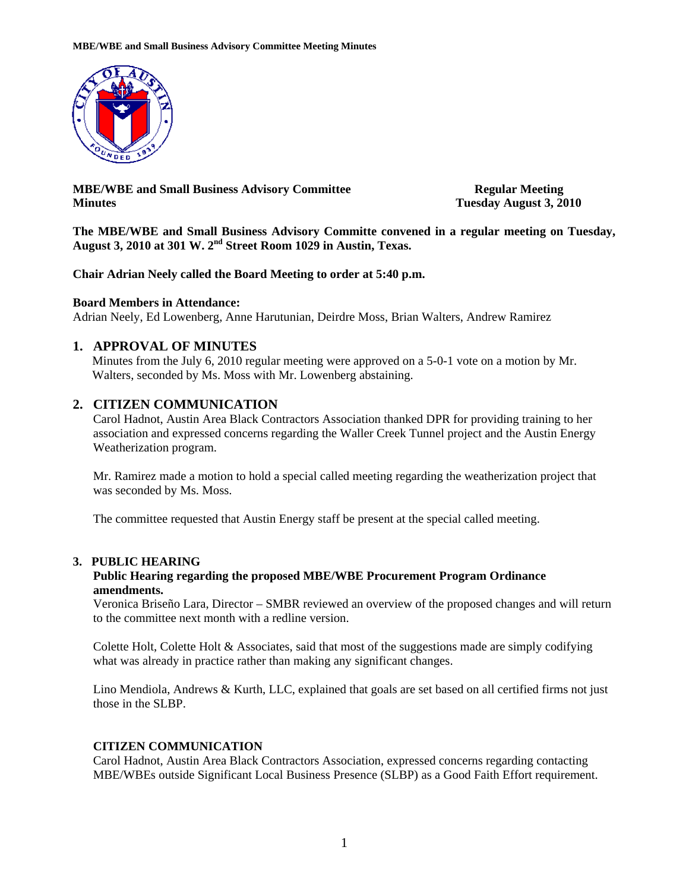

**MBE/WBE and Small Business Advisory Committee Regular Meeting Minutes Tuesday August 3, 2010** 

**The MBE/WBE and Small Business Advisory Committe convened in a regular meeting on Tuesday, August 3, 2010 at 301 W. 2nd Street Room 1029 in Austin, Texas.** 

**Chair Adrian Neely called the Board Meeting to order at 5:40 p.m.** 

#### **Board Members in Attendance:**

Adrian Neely, Ed Lowenberg, Anne Harutunian, Deirdre Moss, Brian Walters, Andrew Ramirez

### **1. APPROVAL OF MINUTES**

Minutes from the July 6, 2010 regular meeting were approved on a 5-0-1 vote on a motion by Mr. Walters, seconded by Ms. Moss with Mr. Lowenberg abstaining.

### **2. CITIZEN COMMUNICATION**

 Carol Hadnot, Austin Area Black Contractors Association thanked DPR for providing training to her association and expressed concerns regarding the Waller Creek Tunnel project and the Austin Energy Weatherization program.

 Mr. Ramirez made a motion to hold a special called meeting regarding the weatherization project that was seconded by Ms. Moss.

The committee requested that Austin Energy staff be present at the special called meeting.

#### **3. PUBLIC HEARING**

#### **Public Hearing regarding the proposed MBE/WBE Procurement Program Ordinance amendments.**

Veronica Briseño Lara, Director – SMBR reviewed an overview of the proposed changes and will return to the committee next month with a redline version.

Colette Holt, Colette Holt & Associates, said that most of the suggestions made are simply codifying what was already in practice rather than making any significant changes.

Lino Mendiola, Andrews & Kurth, LLC, explained that goals are set based on all certified firms not just those in the SLBP.

### **CITIZEN COMMUNICATION**

Carol Hadnot, Austin Area Black Contractors Association, expressed concerns regarding contacting MBE/WBEs outside Significant Local Business Presence (SLBP) as a Good Faith Effort requirement.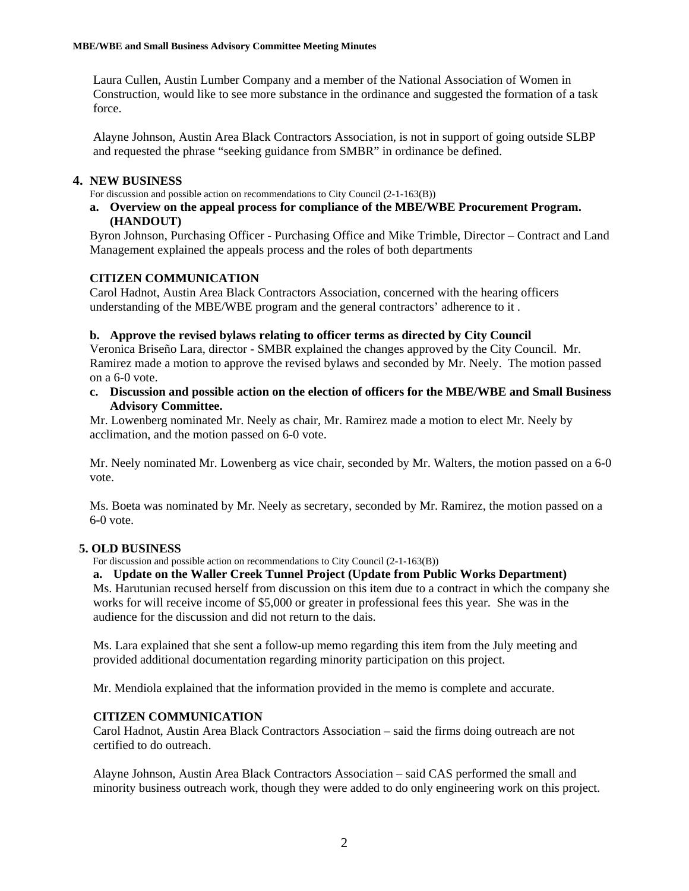Laura Cullen, Austin Lumber Company and a member of the National Association of Women in Construction, would like to see more substance in the ordinance and suggested the formation of a task force.

Alayne Johnson, Austin Area Black Contractors Association, is not in support of going outside SLBP and requested the phrase "seeking guidance from SMBR" in ordinance be defined.

# **4. NEW BUSINESS**

For discussion and possible action on recommendations to City Council (2-1-163(B))

**a. Overview on the appeal process for compliance of the MBE/WBE Procurement Program. (HANDOUT)** 

Byron Johnson, Purchasing Officer - Purchasing Office and Mike Trimble, Director – Contract and Land Management explained the appeals process and the roles of both departments

## **CITIZEN COMMUNICATION**

Carol Hadnot, Austin Area Black Contractors Association, concerned with the hearing officers understanding of the MBE/WBE program and the general contractors' adherence to it .

### **b. Approve the revised bylaws relating to officer terms as directed by City Council**

Veronica Briseño Lara, director - SMBR explained the changes approved by the City Council. Mr. Ramirez made a motion to approve the revised bylaws and seconded by Mr. Neely. The motion passed on a 6-0 vote.

#### **c. Discussion and possible action on the election of officers for the MBE/WBE and Small Business Advisory Committee.**

Mr. Lowenberg nominated Mr. Neely as chair, Mr. Ramirez made a motion to elect Mr. Neely by acclimation, and the motion passed on 6-0 vote.

Mr. Neely nominated Mr. Lowenberg as vice chair, seconded by Mr. Walters, the motion passed on a 6-0 vote.

Ms. Boeta was nominated by Mr. Neely as secretary, seconded by Mr. Ramirez, the motion passed on a 6-0 vote.

### **5. OLD BUSINESS**

For discussion and possible action on recommendations to City Council (2-1-163(B))

### **a. Update on the Waller Creek Tunnel Project (Update from Public Works Department)**

Ms. Harutunian recused herself from discussion on this item due to a contract in which the company she works for will receive income of \$5,000 or greater in professional fees this year. She was in the audience for the discussion and did not return to the dais.

Ms. Lara explained that she sent a follow-up memo regarding this item from the July meeting and provided additional documentation regarding minority participation on this project.

Mr. Mendiola explained that the information provided in the memo is complete and accurate.

### **CITIZEN COMMUNICATION**

Carol Hadnot, Austin Area Black Contractors Association – said the firms doing outreach are not certified to do outreach.

Alayne Johnson, Austin Area Black Contractors Association – said CAS performed the small and minority business outreach work, though they were added to do only engineering work on this project.